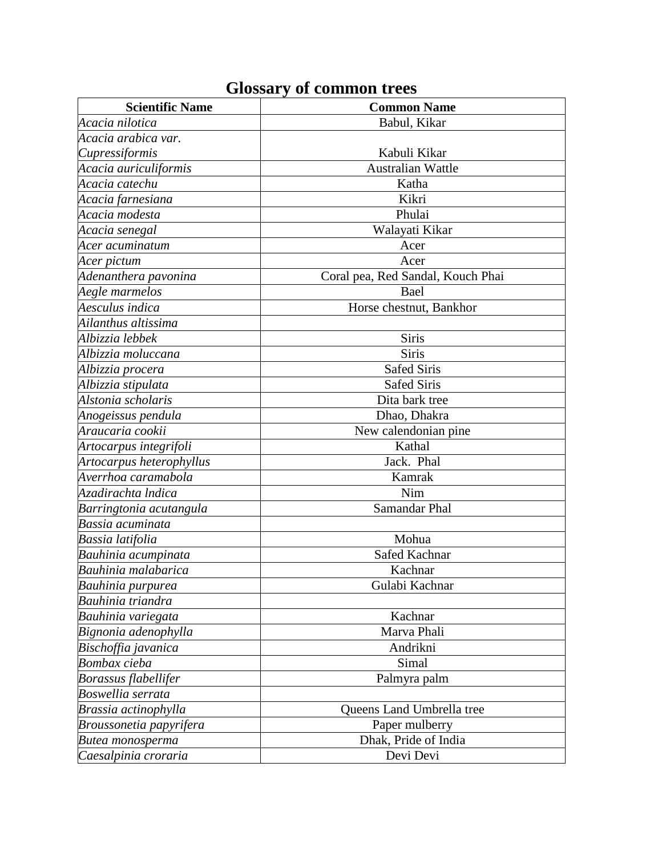## **Glossary of common trees**

| <b>Scientific Name</b>   | <b>Common Name</b>                |
|--------------------------|-----------------------------------|
| Acacia nilotica          | Babul, Kikar                      |
| Acacia arabica var.      |                                   |
| Cupressiformis           | Kabuli Kikar                      |
| Acacia auriculiformis    | <b>Australian Wattle</b>          |
| Acacia catechu           | Katha                             |
| Acacia farnesiana        | Kikri                             |
| Acacia modesta           | Phulai                            |
| Acacia senegal           | Walayati Kikar                    |
| Acer acuminatum          | Acer                              |
| Acer pictum              | Acer                              |
| Adenanthera pavonina     | Coral pea, Red Sandal, Kouch Phai |
| Aegle marmelos           | Bael                              |
| Aesculus indica          | Horse chestnut, Bankhor           |
| Ailanthus altissima      |                                   |
| Albizzia lebbek          | Siris                             |
| Albizzia moluccana       | <b>Siris</b>                      |
| Albizzia procera         | <b>Safed Siris</b>                |
| Albizzia stipulata       | <b>Safed Siris</b>                |
| Alstonia scholaris       | Dita bark tree                    |
| Anogeissus pendula       | Dhao, Dhakra                      |
| Araucaria cookii         | New calendonian pine              |
| Artocarpus integrifoli   | Kathal                            |
| Artocarpus heterophyllus | Jack. Phal                        |
| Averrhoa caramabola      | Kamrak                            |
| Azadirachta Indica       | Nim                               |
| Barringtonia acutangula  | Samandar Phal                     |
| Bassia acuminata         |                                   |
| Bassia latifolia         | Mohua                             |
| Bauhinia acumpinata      | Safed Kachnar                     |
| Bauhinia malabarica      | Kachnar                           |
| Bauhinia purpurea        | Gulabi Kachnar                    |
| Bauhinia triandra        |                                   |
| Bauhinia variegata       | Kachnar                           |
| Bignonia adenophylla     | Marva Phali                       |
| Bischoffia javanica      | Andrikni                          |
| Bombax cieba             | Simal                             |
| Borassus flabellifer     | Palmyra palm                      |
| Boswellia serrata        |                                   |
| Brassia actinophylla     | Queens Land Umbrella tree         |
| Broussonetia papyrifera  | Paper mulberry                    |
| Butea monosperma         | Dhak, Pride of India              |
| Caesalpinia croraria     | Devi Devi                         |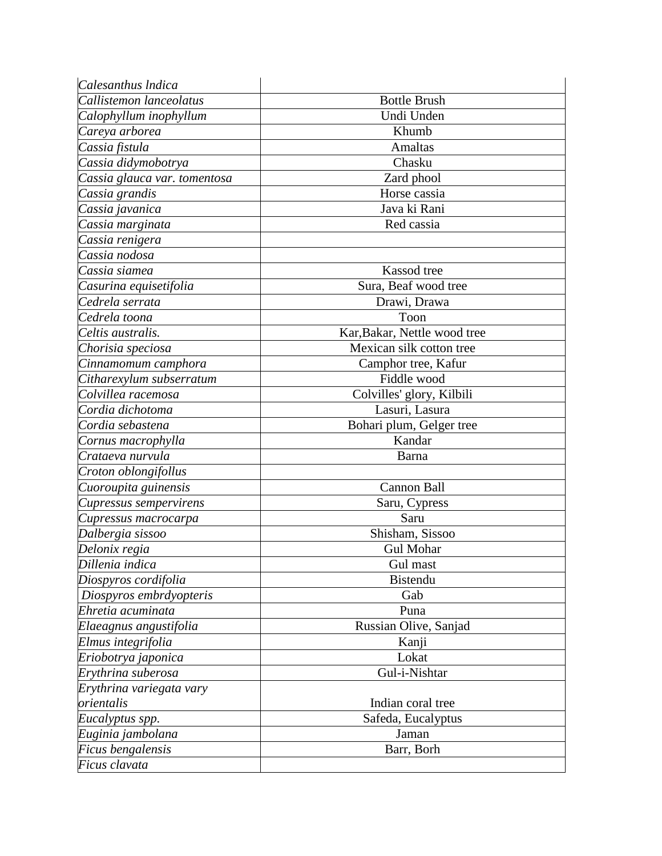| Calesanthus Indica           |                              |
|------------------------------|------------------------------|
| Callistemon lanceolatus      | <b>Bottle Brush</b>          |
| Calophyllum inophyllum       | Undi Unden                   |
| Careya arborea               | Khumb                        |
| Cassia fistula               | <b>Amaltas</b>               |
| Cassia didymobotrya          | Chasku                       |
| Cassia glauca var. tomentosa | Zard phool                   |
| Cassia grandis               | Horse cassia                 |
| Cassia javanica              | Java ki Rani                 |
| Cassia marginata             | Red cassia                   |
| Cassia renigera              |                              |
| Cassia nodosa                |                              |
| Cassia siamea                | Kassod tree                  |
| Casurina equisetifolia       | Sura, Beaf wood tree         |
| Cedrela serrata              | Drawi, Drawa                 |
| Cedrela toona                | Toon                         |
| Celtis australis.            | Kar, Bakar, Nettle wood tree |
| Chorisia speciosa            | Mexican silk cotton tree     |
| Cinnamomum camphora          | Camphor tree, Kafur          |
| Citharexylum subserratum     | Fiddle wood                  |
| Colvillea racemosa           | Colvilles' glory, Kilbili    |
| Cordia dichotoma             | Lasuri, Lasura               |
| Cordia sebastena             | Bohari plum, Gelger tree     |
| Cornus macrophylla           | Kandar                       |
| Crataeva nurvula             | Barna                        |
| Croton oblongifollus         |                              |
| Cuoroupita guinensis         | Cannon Ball                  |
| Cupressus sempervirens       | Saru, Cypress                |
| Cupressus macrocarpa         | Saru                         |
| Dalbergia sissoo             | Shisham, Sissoo              |
| Delonix regia                | <b>Gul Mohar</b>             |
| Dillenia indica              | Gul mast                     |
| Diospyros cordifolia         | Bistendu                     |
| Diospyros embrdyopteris      | Gab                          |
| Ehretia acuminata            | Puna                         |
| Elaeagnus angustifolia       | Russian Olive, Sanjad        |
| Elmus integrifolia           | Kanji                        |
| Eriobotrya japonica          | Lokat                        |
| Erythrina suberosa           | Gul-i-Nishtar                |
| Erythrina variegata vary     |                              |
| orientalis                   | Indian coral tree            |
| Eucalyptus spp.              | Safeda, Eucalyptus           |
| Euginia jambolana            | Jaman                        |
| Ficus bengalensis            | Barr, Borh                   |
| Ficus clavata                |                              |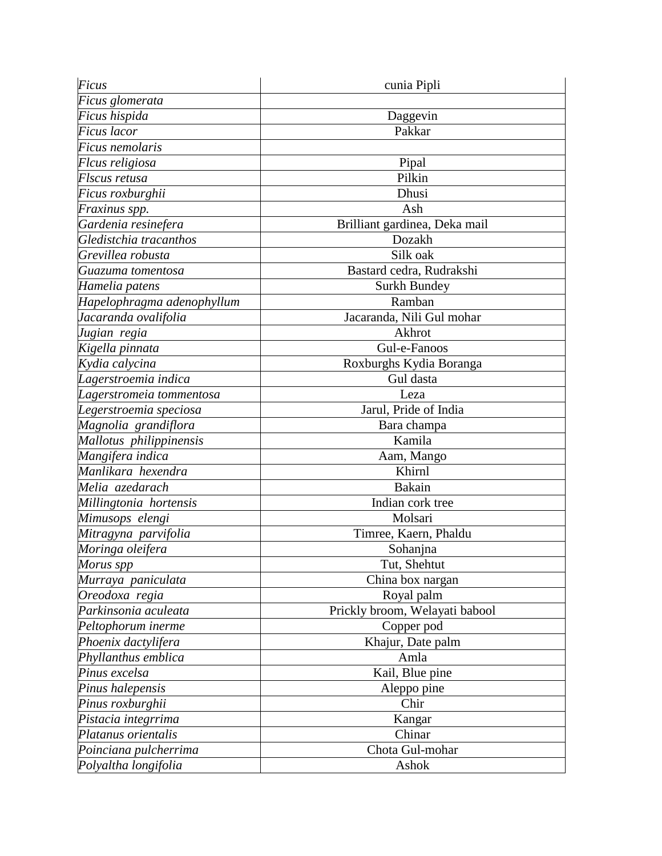| Ficus                      | cunia Pipli                    |
|----------------------------|--------------------------------|
| Ficus glomerata            |                                |
| Ficus hispida              | Daggevin                       |
| Ficus lacor                | Pakkar                         |
| Ficus nemolaris            |                                |
| Flcus religiosa            | Pipal                          |
| Flscus retusa              | Pilkin                         |
| Ficus roxburghii           | Dhusi                          |
| Fraxinus spp.              | Ash                            |
| Gardenia resinefera        | Brilliant gardinea, Deka mail  |
| Gledistchia tracanthos     | Dozakh                         |
| Grevillea robusta          | Silk oak                       |
| Guazuma tomentosa          | Bastard cedra, Rudrakshi       |
| Hamelia patens             | Surkh Bundey                   |
| Hapelophragma adenophyllum | Ramban                         |
| Jacaranda ovalifolia       | Jacaranda, Nili Gul mohar      |
| Jugian regia               | Akhrot                         |
| Kigella pinnata            | Gul-e-Fanoos                   |
| Kydia calycina             | Roxburghs Kydia Boranga        |
| Lagerstroemia indica       | Gul dasta                      |
| Lagerstromeia tommentosa   | Leza                           |
| Legerstroemia speciosa     | Jarul, Pride of India          |
| Magnolia grandiflora       | Bara champa                    |
| Mallotus philippinensis    | Kamila                         |
| Mangifera indica           | Aam, Mango                     |
| Manlikara hexendra         | Khirnl                         |
| Melia azedarach            | <b>Bakain</b>                  |
| Millingtonia hortensis     | Indian cork tree               |
| Mimusops elengi            | Molsari                        |
| Mitragyna parvifolia       | Timree, Kaern, Phaldu          |
| Moringa oleifera           | Sohanjna                       |
| Morus spp                  | Tut, Shehtut                   |
| Murraya paniculata         | China box nargan               |
| Oreodoxa regia             | Royal palm                     |
| Parkinsonia aculeata       | Prickly broom, Welayati babool |
| Peltophorum inerme         | Copper pod                     |
| Phoenix dactylifera        | Khajur, Date palm              |
| Phyllanthus emblica        | Amla                           |
| Pinus excelsa              | Kail, Blue pine                |
| Pinus halepensis           | Aleppo pine                    |
| Pinus roxburghii           | Chir                           |
| Pistacia integrrima        | Kangar                         |
| Platanus orientalis        | Chinar                         |
| Poinciana pulcherrima      | Chota Gul-mohar                |
| Polyaltha longifolia       | Ashok                          |